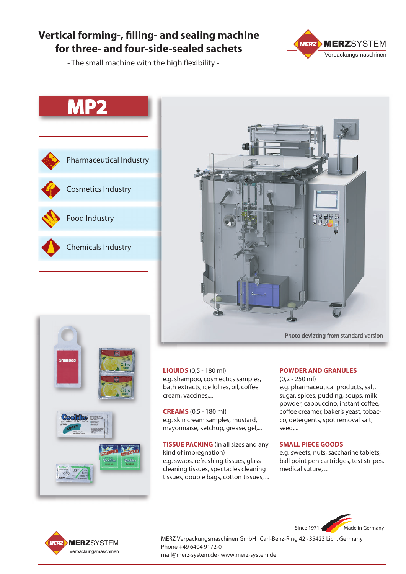# **Vertical forming-, filling- and sealing machine for three- and four-side-sealed sachets**



- The small machine with the high flexibility -







**LIQUIDS** (0,5 - 180 ml) e.g. shampoo, cosmectics samples, bath extracts, ice lollies, oil, coffee cream, vaccines,...

**CREAMS** (0,5 - 180 ml) e.g. skin cream samples, mustard, mayonnaise, ketchup, grease, gel,...

**TISSUE PACKING** (in all sizes and any kind of impregnation) e.g. swabs, refreshing tissues, glass cleaning tissues, spectacles cleaning tissues, double bags, cotton tissues, ...

## **POWDER AND GRANULES**

### (0,2 - 250 ml)

e.g. pharmaceutical products, salt, sugar, spices, pudding, soups, milk powder, cappuccino, instant coffee, coffee creamer, baker's yeast, tobacco, detergents, spot removal salt, seed,...

### **SMALL PIECE GOODS**

e.g. sweets, nuts, saccharine tablets, ball point pen cartridges, test stripes, medical suture, ...

Since 1971 Made in Germany



MERZ Verpackungsmaschinen GmbH · Carl-Benz-Ring 42 · 35423 Lich, Germany Phone +49 6404 9172-0 mail@merz-system.de · www.merz-system.de